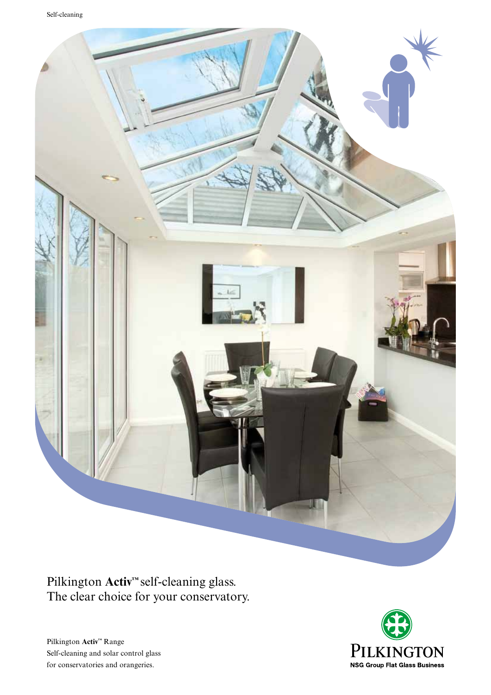

Pilkington **Activ™** self-cleaning glass. The clear choice for your conservatory.

Pilkington **Activ™** Range Self-cleaning and solar control glass for conservatories and orangeries.

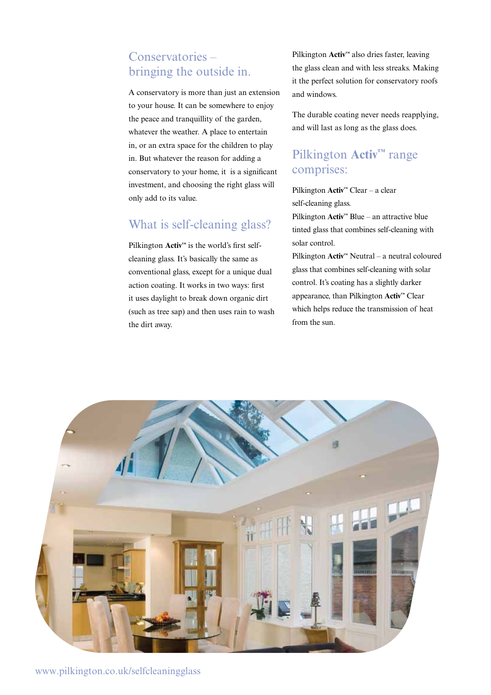#### Conservatories – bringing the outside in.

A conservatory is more than just an extension to your house. It can be somewhere to enjoy the peace and tranquillity of the garden, whatever the weather. A place to entertain in, or an extra space for the children to play in. But whatever the reason for adding a conservatory to your home, it is a significant investment, and choosing the right glass will only add to its value.

#### What is self-cleaning glass?

Pilkington **Activ™** is the world's first selfcleaning glass. It's basically the same as conventional glass, except for a unique dual action coating. It works in two ways: first it uses daylight to break down organic dirt (such as tree sap) and then uses rain to wash the dirt away.

Pilkington **Activ™** also dries faster, leaving the glass clean and with less streaks. Making it the perfect solution for conservatory roofs and windows.

The durable coating never needs reapplying, and will last as long as the glass does.

# Pilkington **Activ™** range comprises:

Pilkington **Activ™** Clear – a clear self-cleaning glass.

Pilkington **Activ™** Blue – an attractive blue tinted glass that combines self-cleaning with solar control.

Pilkington **Activ™** Neutral – a neutral coloured glass that combines self-cleaning with solar control. It's coating has a slightly darker appearance, than Pilkington **Activ™** Clear which helps reduce the transmission of heat from the sun.

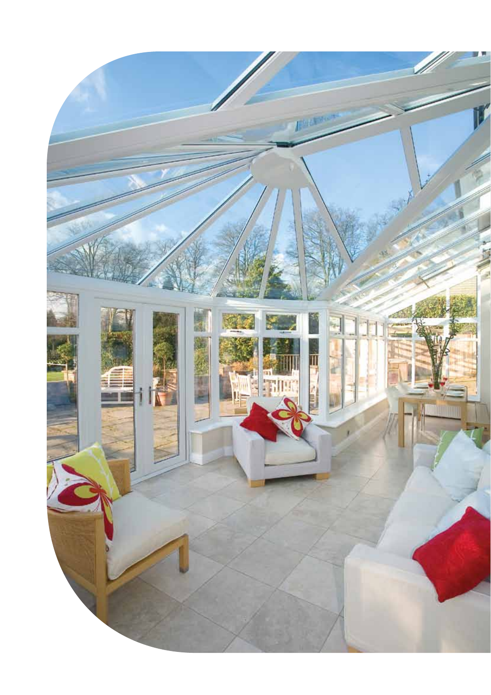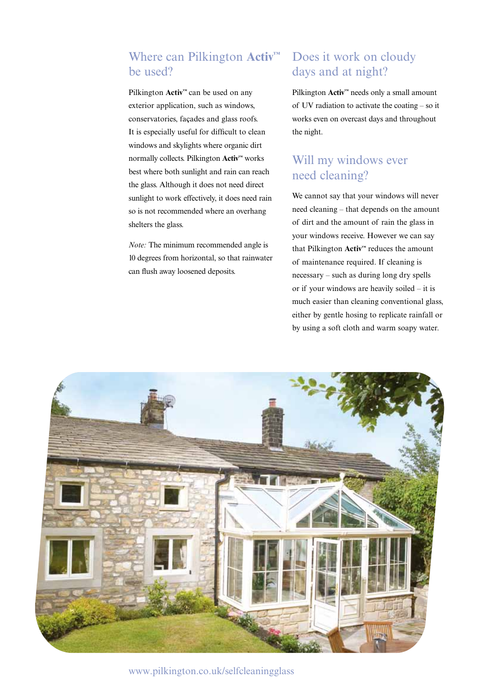#### Where can Pilkington **Activ™** be used?

Pilkington **Activ™** can be used on any exterior application, such as windows, conservatories, façades and glass roofs. It is especially useful for difficult to clean windows and skylights where organic dirt normally collects. Pilkington **Activ™** works best where both sunlight and rain can reach the glass. Although it does not need direct sunlight to work effectively, it does need rain so is not recommended where an overhang shelters the glass.

*Note:* The minimum recommended angle is 10 degrees from horizontal, so that rainwater can flush away loosened deposits.

### Does it work on cloudy days and at night?

Pilkington **Activ™** needs only a small amount of UV radiation to activate the coating – so it works even on overcast days and throughout the night.

#### Will my windows ever need cleaning?

We cannot say that your windows will never need cleaning – that depends on the amount of dirt and the amount of rain the glass in your windows receive. However we can say that Pilkington **Activ™** reduces the amount of maintenance required. If cleaning is necessary – such as during long dry spells or if your windows are heavily soiled – it is much easier than cleaning conventional glass, either by gentle hosing to replicate rainfall or by using a soft cloth and warm soapy water.



www.pilkington.co.uk/selfcleaningglass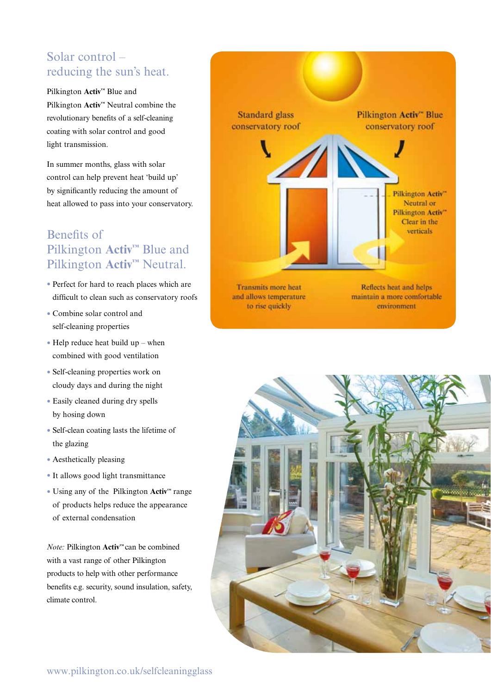#### Solar control – reducing the sun's heat.

Pilkington **Activ™** Blue and Pilkington **Activ™** Neutral combine the revolutionary benefits of a self-cleaning coating with solar control and good light transmission.

In summer months, glass with solar control can help prevent heat 'build up' by significantly reducing the amount of heat allowed to pass into your conservatory.

#### Benefits of Pilkington **Activ™** Blue and Pilkington **Activ™** Neutral.

- Perfect for hard to reach places which are difficult to clean such as conservatory roofs
- Combine solar control and self-cleaning properties
- Help reduce heat build  $up$  when combined with good ventilation
- Self-cleaning properties work on cloudy days and during the night
- Easily cleaned during dry spells by hosing down
- Self-clean coating lasts the lifetime of the glazing
- Aesthetically pleasing
- It allows good light transmittance
- Using any of the Pilkington **Activ™** range of products helps reduce the appearance of external condensation

*Note:* Pilkington **Activ™** can be combined with a vast range of other Pilkington products to help with other performance benefits e.g. security, sound insulation, safety, climate control.



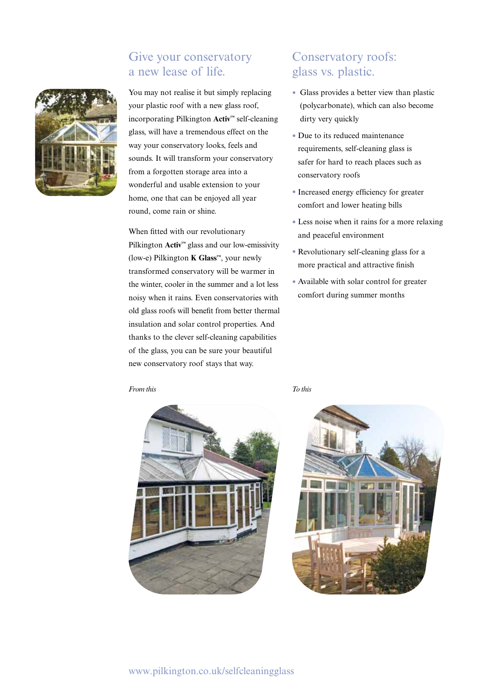#### Give your conservatory a new lease of life.



You may not realise it but simply replacing your plastic roof with a new glass roof, incorporating Pilkington **Activ™** self-cleaning glass, will have a tremendous effect on the way your conservatory looks, feels and sounds. It will transform your conservatory from a forgotten storage area into a wonderful and usable extension to your home, one that can be enjoyed all year round, come rain or shine.

When fitted with our revolutionary Pilkington **Activ™** glass and our low-emissivity (low-e) Pilkington **K Glass™**, your newly transformed conservatory will be warmer in the winter, cooler in the summer and a lot less noisy when it rains. Even conservatories with old glass roofs will benefit from better thermal insulation and solar control properties. And thanks to the clever self-cleaning capabilities of the glass, you can be sure your beautiful new conservatory roof stays that way.

#### Conservatory roofs: glass vs. plastic.

- Glass provides a better view than plastic (polycarbonate), which can also become dirty very quickly
- Due to its reduced maintenance requirements, self-cleaning glass is safer for hard to reach places such as conservatory roofs
- Increased energy efficiency for greater comfort and lower heating bills
- Less noise when it rains for a more relaxing and peaceful environment
- Revolutionary self-cleaning glass for a more practical and attractive finish
- Available with solar control for greater comfort during summer months





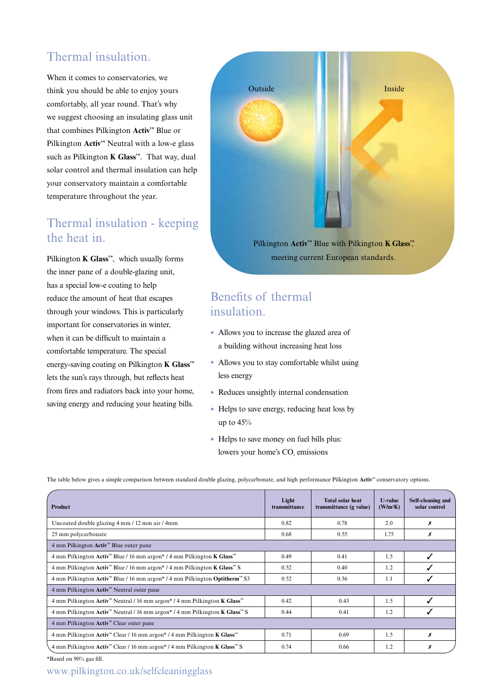#### Thermal insulation.

When it comes to conservatories, we think you should be able to enjoy yours comfortably, all year round. That's why we suggest choosing an insulating glass unit that combines Pilkington **Activ™** Blue or Pilkington **Activ™** Neutral with a low-e glass such as Pilkington **K Glass™**. That way, dual solar control and thermal insulation can help your conservatory maintain a comfortable temperature throughout the year.

#### Thermal insulation - keeping the heat in.

Pilkington **K Glass™**, which usually forms the inner pane of a double-glazing unit, has a special low-e coating to help reduce the amount of heat that escapes through your windows. This is particularly important for conservatories in winter, when it can be difficult to maintain a comfortable temperature. The special energy-saving coating on Pilkington **K Glass™** lets the sun's rays through, but reflects heat from fires and radiators back into your home, saving energy and reducing your heating bills.



meeting current European standards.

## Benefits of thermal insulation.

- Allows you to increase the glazed area of a building without increasing heat loss
- Allows you to stay comfortable whilst using less energy
- Reduces unsightly internal condensation
- Helps to save energy, reducing heat loss by up to 45%
- Helps to save money on fuel bills plus: lowers your home's CO<sub>2</sub> emissions

The table below gives a simple comparison between standard double glazing, polycarbonate, and high performance Pilkington **Activ™** conservatory options.

| Product                                                                                                             | Light<br>transmittance | <b>Total solar heat</b><br>transmittance (g value) | U-value<br>$(W/m^2K)$ | Self-cleaning and<br>solar control |
|---------------------------------------------------------------------------------------------------------------------|------------------------|----------------------------------------------------|-----------------------|------------------------------------|
| Uncoated double glazing 4 mm / 12 mm air / 4mm                                                                      | 0.82                   | 0.78                                               | 2.0                   | х                                  |
| 25 mm polycarbonate                                                                                                 | 0.68                   | 0.55                                               | 1.75                  | Х                                  |
| 4 mm Pilkington Activ <sup>™</sup> Blue outer pane                                                                  |                        |                                                    |                       |                                    |
| 4 mm Pilkington Activ <sup>**</sup> Blue / 16 mm argon <sup>*</sup> / 4 mm Pilkington <b>K</b> Glass <sup>**</sup>  | 0.49                   | 0.41                                               | 1.5                   |                                    |
| 4 mm Pilkington Activ <sup>™</sup> Blue / 16 mm argon* / 4 mm Pilkington <b>K Glass</b> <sup>™</sup> S              | 0.52                   | 0.40                                               | 1.2                   |                                    |
| 4 mm Pilkington Activ <sup>n</sup> Blue / 16 mm argon <sup>*</sup> / 4 mm Pilkington Optitherm <sup>n</sup> S3      | 0.52                   | 0.36                                               | 1.1                   |                                    |
| 4 mm Pilkington Activ <sup>™</sup> Neutral outer pane                                                               |                        |                                                    |                       |                                    |
| 4 mm Pilkington Activ <sup>n</sup> Neutral / 16 mm argon <sup>*</sup> / 4 mm Pilkington <b>K Glass</b> <sup>n</sup> | 0.42                   | 0.43                                               | 1.5                   |                                    |
| 4 mm Pilkington Activ <sup>**</sup> Neutral / 16 mm argon* / 4 mm Pilkington <b>K Glass</b> <sup>**</sup> S         | 0.44                   | 0.41                                               | 1.2                   |                                    |
| $4 \text{ mm}$ Pilkington Activ <sup>"</sup> Clear outer pane                                                       |                        |                                                    |                       |                                    |
| 4 mm Pilkington Activ <sup>™</sup> Clear / 16 mm argon* / 4 mm Pilkington <b>K Glass</b> <sup>™</sup>               | 0.71                   | 0.69                                               | 1.5                   | х                                  |
| 4 mm Pilkington Activ <sup>36</sup> Clear / 16 mm argon* / 4 mm Pilkington <b>K Glass</b> <sup>26</sup> S           | 0.74                   | 0.66                                               | 1.2                   | х                                  |

\*Based on 90% gas fill.